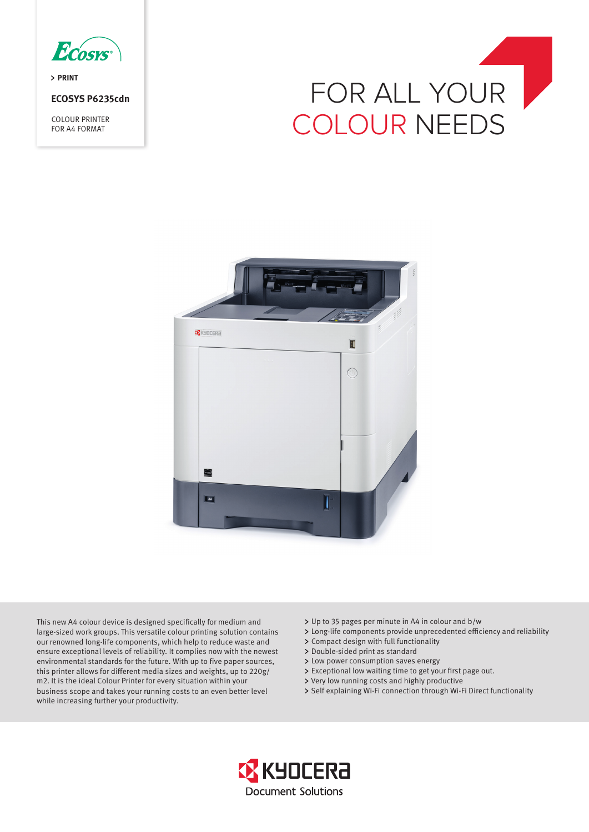

> PRINT

# **ECOSYS P6235cdn**

COLOUR PRINTER FOR A4 FORMAT





This new A4 colour device is designed specifically for medium and large-sized work groups. This versatile colour printing solution contains our renowned long-life components, which help to reduce waste and ensure exceptional levels of reliability. It complies now with the newest environmental standards for the future. With up to five paper sources, this printer allows for different media sizes and weights, up to 220g/ m2. It is the ideal Colour Printer for every situation within your business scope and takes your running costs to an even better level while increasing further your productivity.

- Up to 35 pages per minute in A4 in colour and b/w
- Long-life components provide unprecedented efficiency and reliability
- Compact design with full functionality
- > Double-sided print as standard
- > Low power consumption saves energy
- Exceptional low waiting time to get your first page out.
- Very low running costs and highly productive
- > Self explaining Wi-Fi connection through Wi-Fi Direct functionality